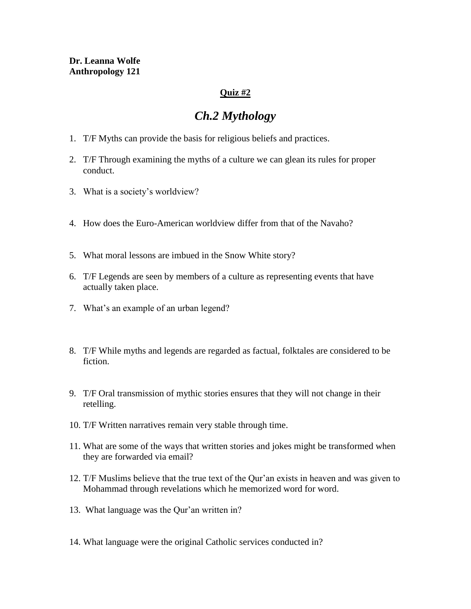## **Dr. Leanna Wolfe Anthropology 121**

## **Quiz #2**

# *Ch.2 Mythology*

- 1. T/F Myths can provide the basis for religious beliefs and practices.
- 2. T/F Through examining the myths of a culture we can glean its rules for proper conduct.
- 3. What is a society's worldview?
- 4. How does the Euro-American worldview differ from that of the Navaho?
- 5. What moral lessons are imbued in the Snow White story?
- 6. T/F Legends are seen by members of a culture as representing events that have actually taken place.
- 7. What's an example of an urban legend?
- 8. T/F While myths and legends are regarded as factual, folktales are considered to be fiction.
- 9. T/F Oral transmission of mythic stories ensures that they will not change in their retelling.
- 10. T/F Written narratives remain very stable through time.
- 11. What are some of the ways that written stories and jokes might be transformed when they are forwarded via email?
- 12. T/F Muslims believe that the true text of the Qur'an exists in heaven and was given to Mohammad through revelations which he memorized word for word.
- 13. What language was the Qur'an written in?
- 14. What language were the original Catholic services conducted in?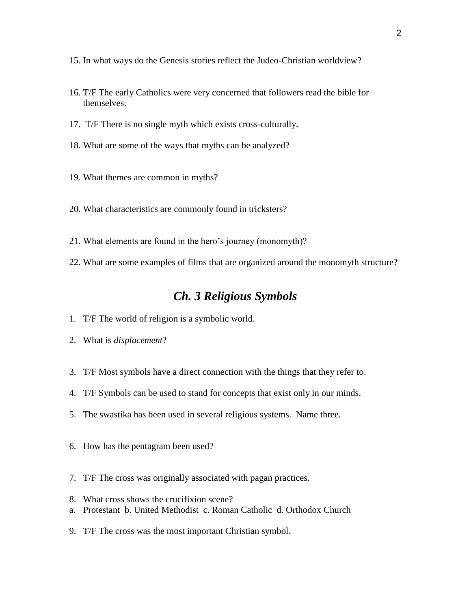- 15. In what ways do the Genesis stories reflect the Judeo-Christian worldview?
- 16. T/F The early Catholics were very concerned that followers read the bible for themselves.
- 17. T/F There is no single myth which exists cross-culturally.
- 18. What are some of the ways that myths can be analyzed?
- 19. What themes are common in myths?
- 20. What characteristics are commonly found in tricksters?
- 21. What elements are found in the hero's journey (monomyth)?
- 22. What are some examples of films that are organized around the monomyth structure?

# *Ch. 3 Religious Symbols*

- 1. T/F The world of religion is a symbolic world.
- 2. What is *displacement*?
- 3. T/F Most symbols have a direct connection with the things that they refer to.
- 4. T/F Symbols can be used to stand for concepts that exist only in our minds.
- 5. The swastika has been used in several religious systems. Name three.
- 6. How has the pentagram been used?
- 7. T/F The cross was originally associated with pagan practices.
- 8. What cross shows the crucifixion scene?
- a. Protestant b. United Methodist c. Roman Catholic d. Orthodox Church
- 9. T/F The cross was the most important Christian symbol.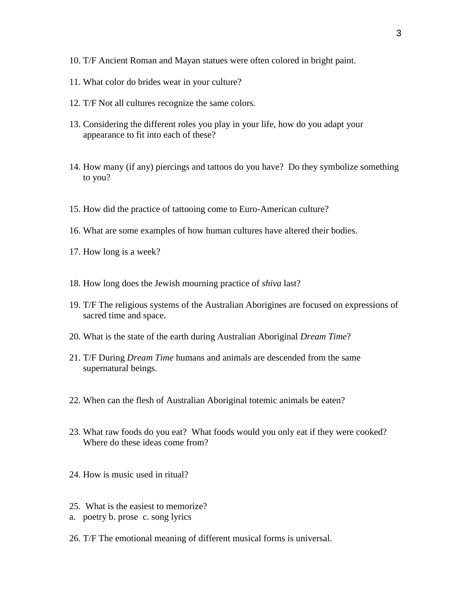- 10. T/F Ancient Roman and Mayan statues were often colored in bright paint.
- 11. What color do brides wear in your culture?
- 12. T/F Not all cultures recognize the same colors.
- 13. Considering the different roles you play in your life, how do you adapt your appearance to fit into each of these?
- 14. How many (if any) piercings and tattoos do you have? Do they symbolize something to you?
- 15. How did the practice of tattooing come to Euro-American culture?
- 16. What are some examples of how human cultures have altered their bodies.
- 17. How long is a week?
- 18. How long does the Jewish mourning practice of *shiva* last?
- 19. T/F The religious systems of the Australian Aborigines are focused on expressions of sacred time and space.
- 20. What is the state of the earth during Australian Aboriginal *Dream Time*?
- 21. T/F During *Dream Time* humans and animals are descended from the same supernatural beings.
- 22. When can the flesh of Australian Aboriginal totemic animals be eaten?
- 23. What raw foods do you eat? What foods would you only eat if they were cooked? Where do these ideas come from?
- 24. How is music used in ritual?
- 25. What is the easiest to memorize?
- a. poetry b. prose c. song lyrics
- 26. T/F The emotional meaning of different musical forms is universal.